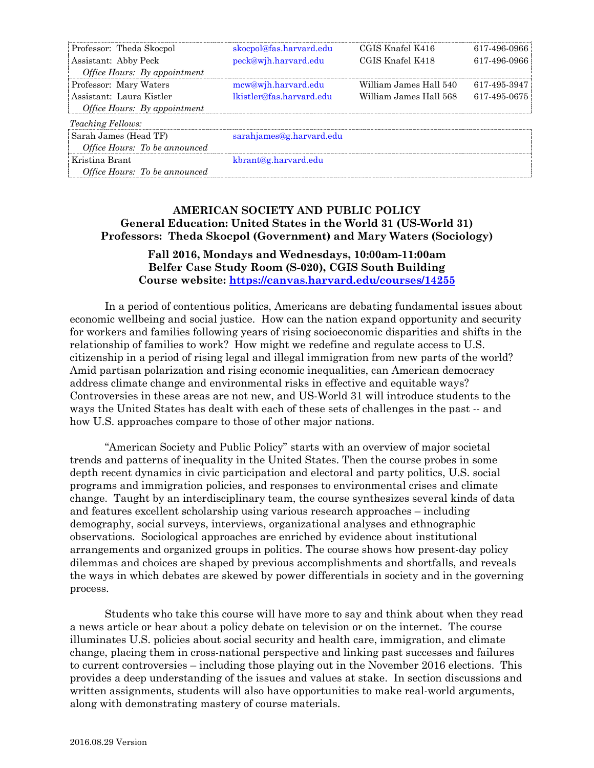| Professor: Theda Skocpol             | skocpol@fas.harvard.edu  | CGIS Knafel K416       | 617-496-0966       |
|--------------------------------------|--------------------------|------------------------|--------------------|
| Assistant: Abby Peck                 | peck@wjh.harvard.edu     | CGIS Knafel K418       | 617-496-0966       |
| Office Hours: By appointment         |                          |                        |                    |
| Professor: Mary Waters               | mcw@wih.harvard.edu      | William James Hall 540 | 617-495-3947       |
| Assistant: Laura Kistler             | lkistler@fas.harvard.edu | William James Hall 568 | $617 - 495 - 0675$ |
| <i>Office Hours: By appointment</i>  |                          |                        |                    |
| <i>Teaching Fellows:</i>             |                          |                        |                    |
| Sarah James (Head TF)                | sarahjames@g.harvard.edu |                        |                    |
| Office Hours: To be announced        |                          |                        |                    |
| Kristina Brant                       | kbrant@g.harvard.edu     |                        |                    |
| <i>Office Hours: To be announced</i> |                          |                        |                    |

## **AMERICAN SOCIETY AND PUBLIC POLICY General Education: United States in the World 31 (US-World 31) Professors: Theda Skocpol (Government) and Mary Waters (Sociology)**

## **Fall 2016, Mondays and Wednesdays, 10:00am-11:00am Belfer Case Study Room (S-020), CGIS South Building Course website:<https://canvas.harvard.edu/courses/14255>**

In a period of contentious politics, Americans are debating fundamental issues about economic wellbeing and social justice. How can the nation expand opportunity and security for workers and families following years of rising socioeconomic disparities and shifts in the relationship of families to work? How might we redefine and regulate access to U.S. citizenship in a period of rising legal and illegal immigration from new parts of the world? Amid partisan polarization and rising economic inequalities, can American democracy address climate change and environmental risks in effective and equitable ways? Controversies in these areas are not new, and US-World 31 will introduce students to the ways the United States has dealt with each of these sets of challenges in the past -- and how U.S. approaches compare to those of other major nations.

"American Society and Public Policy" starts with an overview of major societal trends and patterns of inequality in the United States. Then the course probes in some depth recent dynamics in civic participation and electoral and party politics, U.S. social programs and immigration policies, and responses to environmental crises and climate change. Taught by an interdisciplinary team, the course synthesizes several kinds of data and features excellent scholarship using various research approaches – including demography, social surveys, interviews, organizational analyses and ethnographic observations. Sociological approaches are enriched by evidence about institutional arrangements and organized groups in politics. The course shows how present-day policy dilemmas and choices are shaped by previous accomplishments and shortfalls, and reveals the ways in which debates are skewed by power differentials in society and in the governing process.

Students who take this course will have more to say and think about when they read a news article or hear about a policy debate on television or on the internet. The course illuminates U.S. policies about social security and health care, immigration, and climate change, placing them in cross-national perspective and linking past successes and failures to current controversies – including those playing out in the November 2016 elections. This provides a deep understanding of the issues and values at stake. In section discussions and written assignments, students will also have opportunities to make real-world arguments, along with demonstrating mastery of course materials.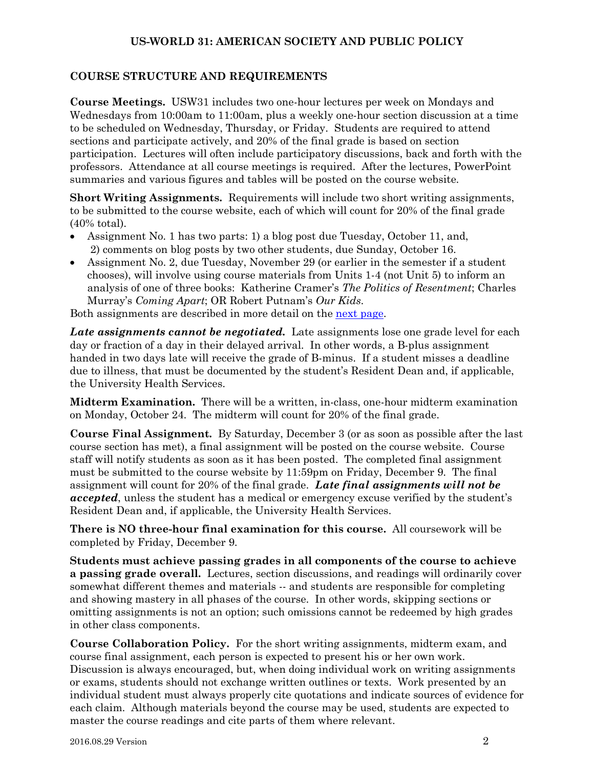### **COURSE STRUCTURE AND REQUIREMENTS**

**Course Meetings.** USW31 includes two one-hour lectures per week on Mondays and Wednesdays from 10:00am to 11:00am, plus a weekly one-hour section discussion at a time to be scheduled on Wednesday, Thursday, or Friday. Students are required to attend sections and participate actively, and 20% of the final grade is based on section participation. Lectures will often include participatory discussions, back and forth with the professors. Attendance at all course meetings is required. After the lectures, PowerPoint summaries and various figures and tables will be posted on the course website.

**Short Writing Assignments.** Requirements will include two short writing assignments, to be submitted to the course website, each of which will count for 20% of the final grade (40% total).

- Assignment No. 1 has two parts: 1) a blog post due Tuesday, October 11, and, 2) comments on blog posts by two other students, due Sunday, October 16.
- Assignment No. 2, due Tuesday, November 29 (or earlier in the semester if a student chooses), will involve using course materials from Units 1-4 (not Unit 5) to inform an analysis of one of three books: Katherine Cramer's *The Politics of Resentment*; Charles Murray's *Coming Apart*; OR Robert Putnam's *Our Kids*.

Both assignments are described in more detail on the [next page.](#page-2-0)

*Late assignments cannot be negotiated.* Late assignments lose one grade level for each day or fraction of a day in their delayed arrival. In other words, a B-plus assignment handed in two days late will receive the grade of B-minus. If a student misses a deadline due to illness, that must be documented by the student's Resident Dean and, if applicable, the University Health Services.

**Midterm Examination.** There will be a written, in-class, one-hour midterm examination on Monday, October 24. The midterm will count for 20% of the final grade.

**Course Final Assignment.** By Saturday, December 3 (or as soon as possible after the last course section has met), a final assignment will be posted on the course website. Course staff will notify students as soon as it has been posted. The completed final assignment must be submitted to the course website by 11:59pm on Friday, December 9. The final assignment will count for 20% of the final grade. *Late final assignments will not be accepted*, unless the student has a medical or emergency excuse verified by the student's Resident Dean and, if applicable, the University Health Services.

**There is NO three-hour final examination for this course.** All coursework will be completed by Friday, December 9.

**Students must achieve passing grades in all components of the course to achieve a passing grade overall.** Lectures, section discussions, and readings will ordinarily cover somewhat different themes and materials -- and students are responsible for completing and showing mastery in all phases of the course. In other words, skipping sections or omitting assignments is not an option; such omissions cannot be redeemed by high grades in other class components.

<span id="page-1-0"></span>**Course Collaboration Policy.**For the short writing assignments, midterm exam, and course final assignment, each person is expected to present his or her own work. Discussion is always encouraged, but, when doing individual work on writing assignments or exams, students should not exchange written outlines or texts. Work presented by an individual student must always properly cite quotations and indicate sources of evidence for each claim. Although materials beyond the course may be used, students are expected to master the course readings and cite parts of them where relevant.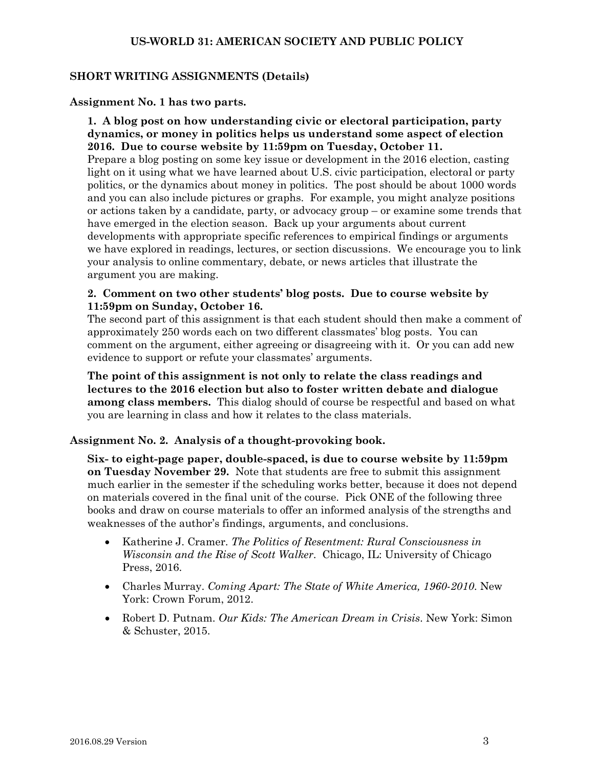### <span id="page-2-0"></span>**SHORT WRITING ASSIGNMENTS (Details)**

#### **Assignment No. 1 has two parts.**

**1. A blog post on how understanding civic or electoral participation, party dynamics, or money in politics helps us understand some aspect of election 2016. Due to course website by 11:59pm on Tuesday, October 11.** Prepare a blog posting on some key issue or development in the 2016 election, casting light on it using what we have learned about U.S. civic participation, electoral or party politics, or the dynamics about money in politics. The post should be about 1000 words and you can also include pictures or graphs. For example, you might analyze positions or actions taken by a candidate, party, or advocacy group – or examine some trends that have emerged in the election season. Back up your arguments about current developments with appropriate specific references to empirical findings or arguments we have explored in readings, lectures, or section discussions. We encourage you to link your analysis to online commentary, debate, or news articles that illustrate the argument you are making.

### **2. Comment on two other students' blog posts. Due to course website by 11:59pm on Sunday, October 16.**

The second part of this assignment is that each student should then make a comment of approximately 250 words each on two different classmates' blog posts. You can comment on the argument, either agreeing or disagreeing with it. Or you can add new evidence to support or refute your classmates' arguments.

**The point of this assignment is not only to relate the class readings and lectures to the 2016 election but also to foster written debate and dialogue among class members.** This dialog should of course be respectful and based on what you are learning in class and how it relates to the class materials.

## **Assignment No. 2. Analysis of a thought-provoking book.**

**Six- to eight-page paper, double-spaced, is due to course website by 11:59pm on Tuesday November 29.** Note that students are free to submit this assignment much earlier in the semester if the scheduling works better, because it does not depend on materials covered in the final unit of the course. Pick ONE of the following three books and draw on course materials to offer an informed analysis of the strengths and weaknesses of the author's findings, arguments, and conclusions.

- Katherine J. Cramer. *The Politics of Resentment: Rural Consciousness in Wisconsin and the Rise of Scott Walker*. Chicago, IL: University of Chicago Press, 2016.
- Charles Murray. *Coming Apart: The State of White America, 1960-2010*. New York: Crown Forum, 2012.
- Robert D. Putnam. *Our Kids: The American Dream in Crisis*. New York: Simon & Schuster, 2015.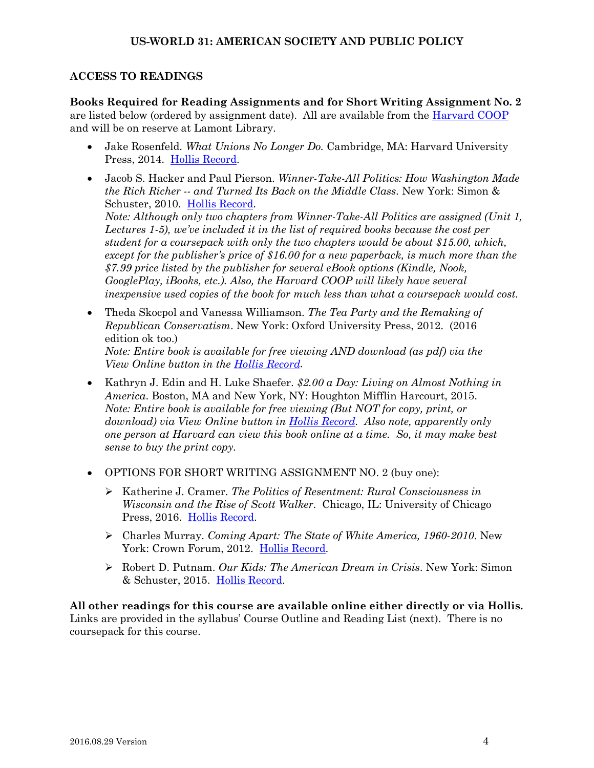## **ACCESS TO READINGS**

**Books Required for Reading Assignments and for Short Writing Assignment No. 2** are listed below (ordered by assignment date). All are available from the [Harvard COOP](http://harvardcoopbooks.bncollege.com/webapp/wcs/stores/servlet/TBWizardView?catalogId=10001&langId=-1&storeId=52084) and will be on reserve at Lamont Library.

- Jake Rosenfeld. *What Unions No Longer Do.* Cambridge, MA: Harvard University Press, 2014. [Hollis Record.](http://id.lib.harvard.edu/aleph/013771107/catalog)
- Jacob S. Hacker and Paul Pierson. *Winner-Take-All Politics: How Washington Made the Rich Richer -- and Turned Its Back on the Middle Class*. New York: Simon & Schuster, 2010. [Hollis Record.](http://id.lib.harvard.edu/aleph/012538536/catalog) *Note: Although only two chapters from Winner-Take-All Politics are assigned (Unit 1, Lectures 1-5), we've included it in the list of required books because the cost per student for a coursepack with only the two chapters would be about \$15.00, which, except for the publisher's price of \$16.00 for a new paperback, is much more than the \$7.99 price listed by the publisher for several eBook options (Kindle, Nook, GooglePlay, iBooks, etc.). Also, the Harvard COOP will likely have several inexpensive used copies of the book for much less than what a coursepack would cost.*
- Theda Skocpol and Vanessa Williamson. *The Tea Party and the Remaking of Republican Conservatism*. New York: Oxford University Press, 2012. (2016 edition ok too.) *Note: Entire book is available for free viewing AND download (as pdf) via the View Online button in the [Hollis Record.](http://id.lib.harvard.edu/aleph/012997603/catalog)*
- Kathryn J. Edin and H. Luke Shaefer. *\$2.00 a Day: Living on Almost Nothing in America*. Boston, MA and New York, NY: Houghton Mifflin Harcourt, 2015. *Note: Entire book is available for free viewing (But NOT for copy, print, or download) via View Online button in [Hollis Record.](http://id.lib.harvard.edu/aleph/014377415/catalog) Also note, apparently only one person at Harvard can view this book online at a time. So, it may make best sense to buy the print copy.*
- OPTIONS FOR SHORT WRITING ASSIGNMENT NO. 2 (buy one):
	- Katherine J. Cramer. *The Politics of Resentment: Rural Consciousness in Wisconsin and the Rise of Scott Walker*. Chicago, IL: University of Chicago Press, 2016. [Hollis Record.](http://id.lib.harvard.edu/aleph/014697786/catalog)
	- Charles Murray. *Coming Apart: The State of White America, 1960-2010*. New York: Crown Forum, 2012. [Hollis Record.](http://id.lib.harvard.edu/aleph/013103047/catalog)
	- Robert D. Putnam. *Our Kids: The American Dream in Crisis*. New York: Simon & Schuster, 2015. [Hollis Record.](http://id.lib.harvard.edu/aleph/014297820/catalog)

**All other readings for this course are available online either directly or via Hollis.** Links are provided in the syllabus' Course Outline and Reading List (next). There is no coursepack for this course.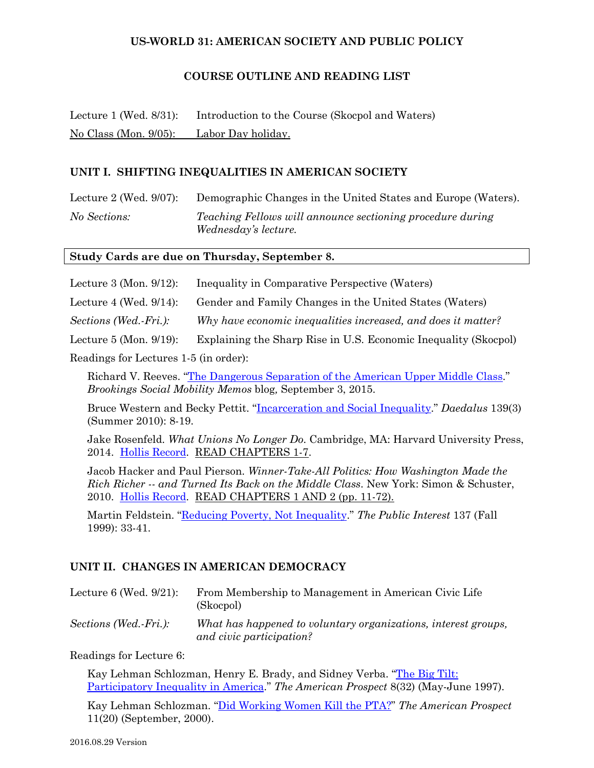### **COURSE OUTLINE AND READING LIST**

Lecture 1 (Wed. 8/31): Introduction to the Course (Skocpol and Waters) No Class (Mon. 9/05): Labor Day holiday.

### **UNIT I. SHIFTING INEQUALITIES IN AMERICAN SOCIETY**

Lecture 2 (Wed. 9/07): Demographic Changes in the United States and Europe (Waters). *No Sections: Teaching Fellows will announce sectioning procedure during Wednesday's lecture.* 

#### **Study Cards are due on Thursday, September 8.**

Lecture 3 (Mon. 9/12): Inequality in Comparative Perspective (Waters)

Lecture 4 (Wed. 9/14): Gender and Family Changes in the United States (Waters)

*Sections (Wed.-Fri.): Why have economic inequalities increased, and does it matter?*

Lecture 5 (Mon. 9/19): Explaining the Sharp Rise in U.S. Economic Inequality (Skocpol)

Readings for Lectures 1-5 (in order):

Richard V. Reeves. ["The Dangerous Separation of the American Upper Middle Class.](http://www.brookings.edu/blogs/social-mobility-memos/posts/2015/09/03-separation-upper-middle-class-reeves)" *Brookings Social Mobility Memos* blog*,* September 3, 2015.

Bruce Western and Becky Pettit. ["Incarceration and Social Inequality.](http://www.mitpressjournals.org/doi/pdfplus/10.1162/DAED_a_00019)" *Daedalus* 139(3) (Summer 2010): 8-19.

Jake Rosenfeld. *What Unions No Longer Do*. Cambridge, MA: Harvard University Press, 2014. [Hollis Record.](http://id.lib.harvard.edu/aleph/013771107/catalog) READ CHAPTERS 1-7.

Jacob Hacker and Paul Pierson. *Winner-Take-All Politics: How Washington Made the Rich Richer -- and Turned Its Back on the Middle Class*. New York: Simon & Schuster, 2010. [Hollis Record.](http://id.lib.harvard.edu/aleph/012538536/catalog) READ CHAPTERS 1 AND 2 (pp. 11-72).

Martin Feldstein. ["Reducing Poverty, Not Inequality.](http://www.nationalaffairs.com/public_interest/detail/reducing-poverty-not-inequality)" *The Public Interest* 137 (Fall 1999): 33-41.

## **UNIT II. CHANGES IN AMERICAN DEMOCRACY**

| Lecture $6$ (Wed. $9/21$ ): | From Membership to Management in American Civic Life<br>(Skocpol)                          |
|-----------------------------|--------------------------------------------------------------------------------------------|
| Sections (Wed.-Fri.):       | What has happened to voluntary organizations, interest groups,<br>and civic participation? |

Readings for Lecture 6:

Kay Lehman Schlozman, Henry E. Brady, and Sidney Verba. ["The Big Tilt:](http://prospect.org/article/big-tilt)  [Participatory Inequality in America.](http://prospect.org/article/big-tilt)" *The American Prospect* 8(32) (May-June 1997).

Kay Lehman Schlozman. ["Did Working Women Kill the PTA?"](http://prospect.org/article/did-working-women-kill-pta) *The American Prospect* 11(20) (September, 2000).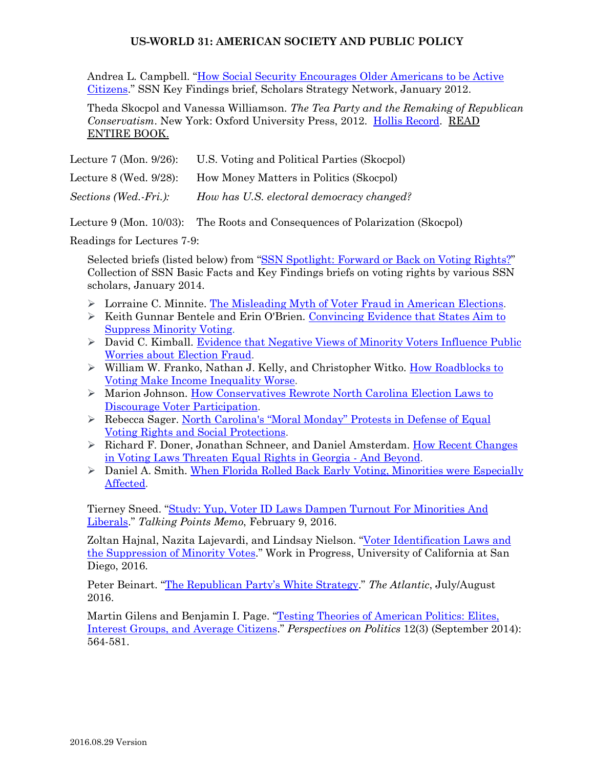Andrea L. Campbell. ["How Social Security Encourages Older Americans to be Active](http://www.scholarsstrategynetwork.org/brief/how-social-security-encourages-older-americans-be-active-citizens)  [Citizens.](http://www.scholarsstrategynetwork.org/brief/how-social-security-encourages-older-americans-be-active-citizens)" SSN Key Findings brief, Scholars Strategy Network, January 2012.

Theda Skocpol and Vanessa Williamson. *The Tea Party and the Remaking of Republican Conservatism*. New York: Oxford University Press, 2012. [Hollis Record.](http://id.lib.harvard.edu/aleph/012997603/catalog) READ ENTIRE BOOK.

| Lecture $7 \times 9/26$ :   | U.S. Voting and Political Parties (Skocpol) |
|-----------------------------|---------------------------------------------|
| Lecture $8$ (Wed. $9/28$ ): | How Money Matters in Politics (Skocpol)     |
| Sections (Wed.-Fri.):       | How has U.S. electoral democracy changed?   |

Lecture 9 (Mon. 10/03): The Roots and Consequences of Polarization (Skocpol)

Readings for Lectures 7-9:

Selected briefs (listed below) from ["SSN Spotlight: Forward or Back on Voting](http://www.scholarsstrategynetwork.org/scholar-spotlight/forward-or-back-voting-rights) Rights?" Collection of SSN Basic Facts and Key Findings briefs on voting rights by various SSN scholars, January 2014.

- $\triangleright$  Lorraine C. Minnite. [The Misleading Myth of Voter Fraud in American Elections.](http://www.scholarsstrategynetwork.org/brief/misleading-myth-voter-fraud-american-elections)
- $\triangleright$  Keith Gunnar Bentele and Erin O'Brien. Convincing Evidence that States Aim to [Suppress Minority Voting.](http://www.scholarsstrategynetwork.org/brief/convincing-evidence-states-aim-suppress-minority-voting)
- > David C. Kimball. Evidence that Negative Views of Minority Voters Influence Public [Worries about Election Fraud.](http://www.scholarsstrategynetwork.org/brief/evidence-negative-views-minority-voters-influence-public-worries-about-election-fraud)
- ▶ William W. Franko, Nathan J. Kelly, and Christopher Witko. How Roadblocks to [Voting Make Income Inequality Worse.](http://www.scholarsstrategynetwork.org/brief/how-roadblocks-voting-make-income-inequality-worse)
- Marion Johnson. [How Conservatives Rewrote North Carolina Election Laws to](http://www.scholarsstrategynetwork.org/brief/how-conservatives-rewrote-north-carolina-election-laws-discourage-voter-participation)  [Discourage Voter Participation.](http://www.scholarsstrategynetwork.org/brief/how-conservatives-rewrote-north-carolina-election-laws-discourage-voter-participation)
- Rebecca Sager. [North Carolina's "Moral Monday"](http://www.scholarsstrategynetwork.org/brief/north-carolinas-moral-monday-protests-defense-equal-voting-rights-and-social-protections) Protests in Defense of Equal [Voting Rights and Social Protections.](http://www.scholarsstrategynetwork.org/brief/north-carolinas-moral-monday-protests-defense-equal-voting-rights-and-social-protections)
- $\triangleright$  Richard F. Doner, Jonathan Schneer, and Daniel Amsterdam. How Recent Changes [in Voting Laws Threaten Equal Rights in Georgia -](http://www.scholarsstrategynetwork.org/brief/how-recent-changes-voting-laws-threaten-equal-rights-georgia-and-beyond) And Beyond.
- Daniel A. Smith. [When Florida Rolled Back Early Voting, Minorities were Especially](http://www.scholarsstrategynetwork.org/brief/when-florida-rolled-back-early-voting-minorities-were-especially-affected)  [Affected.](http://www.scholarsstrategynetwork.org/brief/when-florida-rolled-back-early-voting-minorities-were-especially-affected)

Tierney Sneed. ["Study: Yup, Voter ID Laws Dampen Turnout For Minorities And](http://talkingpointsmemo.com/dc/voter-id-study-minorities-liberals)  [Liberals.](http://talkingpointsmemo.com/dc/voter-id-study-minorities-liberals)" *Talking Points Memo*, February 9, 2016.

Zoltan Hajnal, Nazita Lajevardi, and Lindsay Nielson. ["Voter Identification Laws and](http://pages.ucsd.edu/%7Ezhajnal/page5/documents/VoterIDLawsandtheSuppressionofMinorityVotes.pdf)  [the Suppression of Minority Votes.](http://pages.ucsd.edu/%7Ezhajnal/page5/documents/VoterIDLawsandtheSuppressionofMinorityVotes.pdf)" Work in Progress, University of California at San Diego, 2016.

Peter Beinart. ["The Republican Party's White Strategy.](http://www.theatlantic.com/magazine/archive/2016/07/the-white-strategy/485612/)" *The Atlantic*, July/August 2016.

Martin Gilens and Benjamin I. Page. ["Testing Theories of American Politics: Elites,](http://journals.cambridge.org/action/displayAbstract?fromPage=online&aid=9354310&fileId=S1537592714001595)  [Interest Groups, and Average Citizens.](http://journals.cambridge.org/action/displayAbstract?fromPage=online&aid=9354310&fileId=S1537592714001595)" *Perspectives on Politics* 12(3) (September 2014): 564-581.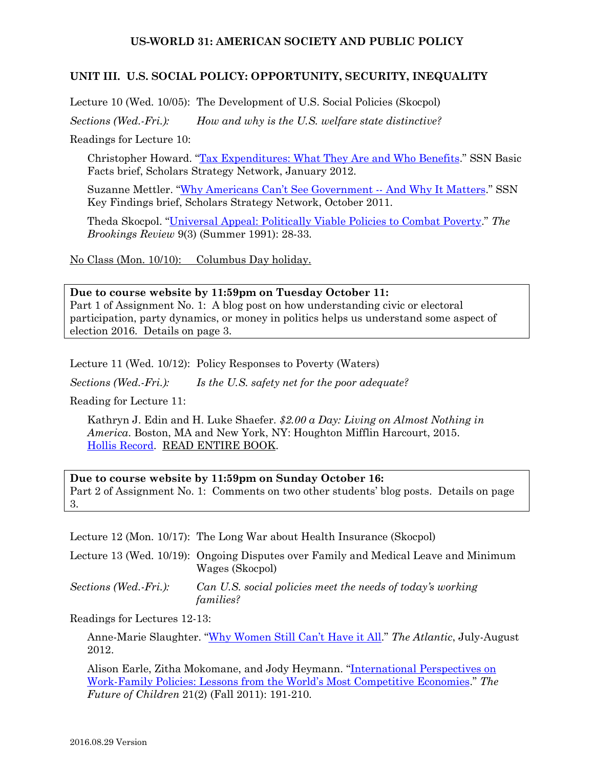#### **UNIT III. U.S. SOCIAL POLICY: OPPORTUNITY, SECURITY, INEQUALITY**

Lecture 10 (Wed. 10/05): The Development of U.S. Social Policies (Skocpol)

*Sections (Wed.-Fri.): How and why is the U.S. welfare state distinctive?*

Readings for Lecture 10:

Christopher Howard. ["Tax Expenditures: What They Are and Who Benefits.](http://www.scholarsstrategynetwork.org/brief/tax-expenditures-what-they-are-and-who-benefits)" SSN Basic Facts brief, Scholars Strategy Network, January 2012.

Suzanne Mettler. ["Why Americans Can't See Government --](http://www.scholarsstrategynetwork.org/brief/why-americans-cant-see-government-and-why-it-matters) And Why It Matters." SSN Key Findings brief, Scholars Strategy Network, October 2011.

Theda Skocpol. ["Universal Appeal: Politically Viable Policies to Combat Poverty.](https://www.jstor.org/stable/20080225?seq=1#page_scan_tab_contents)" *The Brookings Review* 9(3) (Summer 1991): 28-33.

No Class (Mon. 10/10): Columbus Day holiday.

**Due to course website by 11:59pm on Tuesday October 11:**  Part 1 of Assignment No. 1: A blog post on how understanding civic or electoral participation, party dynamics, or money in politics helps us understand some aspect of election 2016. Details on page 3.

Lecture 11 (Wed. 10/12): Policy Responses to Poverty (Waters)

*Sections (Wed.-Fri.): Is the U.S. safety net for the poor adequate?*

Reading for Lecture 11:

Kathryn J. Edin and H. Luke Shaefer. *\$2.00 a Day: Living on Almost Nothing in America*. Boston, MA and New York, NY: Houghton Mifflin Harcourt, 2015. [Hollis Record.](http://id.lib.harvard.edu/aleph/014377415/catalog) READ ENTIRE BOOK.

**Due to course website by 11:59pm on Sunday October 16:**  Part 2 of Assignment No. 1: Comments on two other students' blog posts. Details on page 3.

Lecture 12 (Mon. 10/17): The Long War about Health Insurance (Skocpol)

Lecture 13 (Wed. 10/19): Ongoing Disputes over Family and Medical Leave and Minimum Wages (Skocpol)

*Sections (Wed.-Fri.): Can U.S. social policies meet the needs of today's working families?* 

Readings for Lectures 12-13:

Anne-Marie Slaughter. ["Why Women Still Can't Have it All.](http://www.theatlantic.com/magazine/archive/2012/07/why-women-still-cant-have-it-all/309020/)" *The Atlantic*, July-August 2012.

Alison Earle, Zitha Mokomane, and Jody Heymann. ["International Perspectives on](http://www.futureofchildren.org/publications/journals/article/index.xml?journalid=76&articleid=557)  [Work-Family Policies: Lessons from the World's Most Competitive Economies.](http://www.futureofchildren.org/publications/journals/article/index.xml?journalid=76&articleid=557)" *The Future of Children* 21(2) (Fall 2011): 191-210.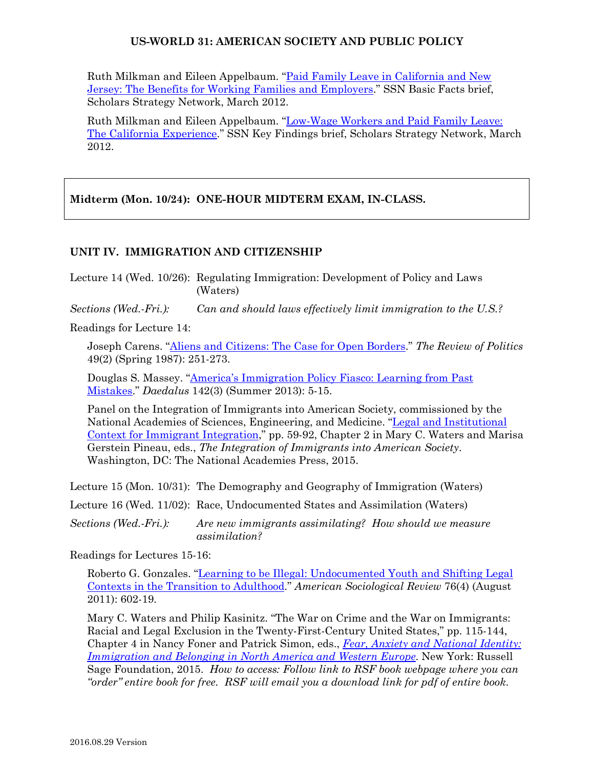Ruth Milkman and Eileen Appelbaum. ["Paid Family Leave in California and New](http://www.scholarsstrategynetwork.org/brief/paid-family-leave-california-and-new-jersey-benefits-working-families-and-employers)  [Jersey: The Benefits for Working Families and Employers.](http://www.scholarsstrategynetwork.org/brief/paid-family-leave-california-and-new-jersey-benefits-working-families-and-employers)" SSN Basic Facts brief, Scholars Strategy Network, March 2012.

Ruth Milkman and Eileen Appelbaum. ["Low-Wage Workers and Paid Family Leave:](http://www.scholarsstrategynetwork.org/brief/low-wage-workers-and-paid-family-leave-california-experience)  [The California Experience.](http://www.scholarsstrategynetwork.org/brief/low-wage-workers-and-paid-family-leave-california-experience)" SSN Key Findings brief, Scholars Strategy Network, March 2012.

**Midterm (Mon. 10/24): ONE-HOUR MIDTERM EXAM, IN-CLASS.**

## **UNIT IV. IMMIGRATION AND CITIZENSHIP**

Lecture 14 (Wed. 10/26): Regulating Immigration: Development of Policy and Laws (Waters)

*Sections (Wed.-Fri.): Can and should laws effectively limit immigration to the U.S.?*

Readings for Lecture 14:

Joseph Carens. ["Aliens and Citizens: The Case for Open Borders.](http://www.jstor.org.ezp-prod1.hul.harvard.edu/stable/1407506)" *The Review of Politics* 49(2) (Spring 1987): 251-273.

Douglas S. Massey. ["America's Immigration Policy Fiasco: Learning from Past](http://www.mitpressjournals.org/doi/pdfplus/10.1162/DAED_a_00215)  [Mistakes.](http://www.mitpressjournals.org/doi/pdfplus/10.1162/DAED_a_00215)" *Daedalus* 142(3) (Summer 2013): 5-15.

Panel on the Integration of Immigrants into American Society, commissioned by the National Academies of Sciences, Engineering, and Medicine. ["Legal and Institutional](http://www.nap.edu/read/21746/chapter/4)  [Context for Immigrant Integration,](http://www.nap.edu/read/21746/chapter/4)" pp. 59-92, Chapter 2 in Mary C. Waters and Marisa Gerstein Pineau, eds., *The Integration of Immigrants into American Society*. Washington, DC: The National Academies Press, 2015.

Lecture 15 (Mon. 10/31): The Demography and Geography of Immigration (Waters)

Lecture 16 (Wed. 11/02): Race, Undocumented States and Assimilation (Waters)

*Sections (Wed.-Fri.): Are new immigrants assimilating? How should we measure assimilation?*

Readings for Lectures 15-16:

Roberto G. Gonzales. ["Learning to be Illegal: Undocumented Youth and Shifting Legal](http://asr.sagepub.com/content/76/4/602.abstract)  [Contexts in the Transition to Adulthood.](http://asr.sagepub.com/content/76/4/602.abstract)" *American Sociological Review* 76(4) (August 2011): 602-19.

Mary C. Waters and Philip Kasinitz. "The War on Crime and the War on Immigrants: Racial and Legal Exclusion in the Twenty-First-Century United States," pp. 115-144, Chapter 4 in Nancy Foner and Patrick Simon, eds., *[Fear, Anxiety and National Identity:](https://www.russellsage.org/publications/fear-anxiety-and-national-identity)  [Immigration and Belonging in North America and Western Europe](https://www.russellsage.org/publications/fear-anxiety-and-national-identity)*. New York: Russell Sage Foundation, 2015. *How to access: Follow link to RSF book webpage where you can "order" entire book for free. RSF will email you a download link for pdf of entire book*.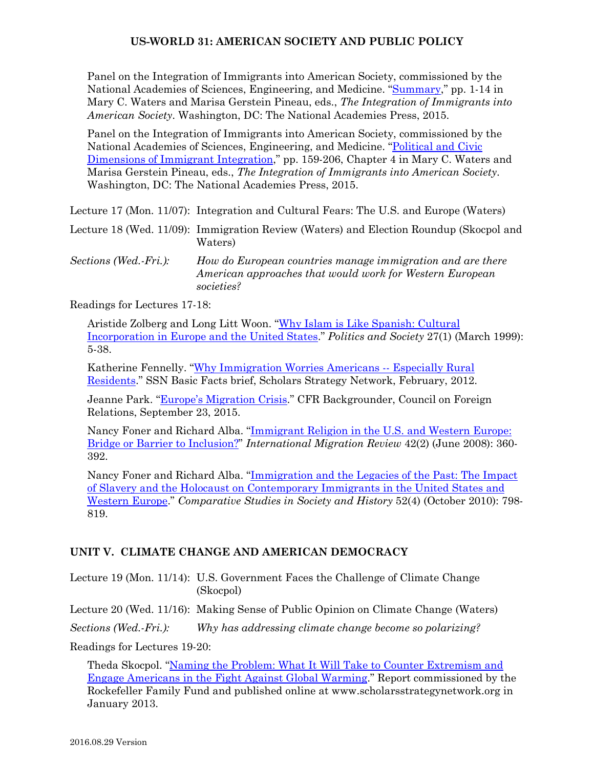Panel on the Integration of Immigrants into American Society, commissioned by the National Academies of Sciences, Engineering, and Medicine. ["Summary,](http://www.nap.edu/read/21746/chapter/2)" pp. 1-14 in Mary C. Waters and Marisa Gerstein Pineau, eds., *The Integration of Immigrants into American Society*. Washington, DC: The National Academies Press, 2015.

Panel on the Integration of Immigrants into American Society, commissioned by the National Academies of Sciences, Engineering, and Medicine. ["Political and Civic](http://www.nap.edu/read/21746/chapter/6)  [Dimensions of Immigrant Integration,](http://www.nap.edu/read/21746/chapter/6)" pp. 159-206, Chapter 4 in Mary C. Waters and Marisa Gerstein Pineau, eds., *The Integration of Immigrants into American Society*. Washington, DC: The National Academies Press, 2015.

Lecture 17 (Mon. 11/07): Integration and Cultural Fears: The U.S. and Europe (Waters)

Lecture 18 (Wed. 11/09): Immigration Review (Waters) and Election Roundup (Skocpol and Waters)

*Sections (Wed.-Fri.): How do European countries manage immigration and are there American approaches that would work for Western European societies?*

Readings for Lectures 17-18:

Aristide Zolberg and Long Litt Woon. ["Why Islam is Like Spanish: Cultural](http://pas.sagepub.com/content/27/1/5.full.pdf+html)  [Incorporation in Europe and the United States.](http://pas.sagepub.com/content/27/1/5.full.pdf+html)" *Politics and Society* 27(1) (March 1999): 5-38.

Katherine Fennelly. ["Why Immigration Worries Americans](http://www.scholarsstrategynetwork.org/brief/why-immigration-worries-americans-%E2%80%93-especially-rural-residents) -- Especially Rural [Residents.](http://www.scholarsstrategynetwork.org/brief/why-immigration-worries-americans-%E2%80%93-especially-rural-residents)" SSN Basic Facts brief, Scholars Strategy Network, February, 2012.

Jeanne Park. ["Europe's Migration Crisis.](http://www.cfr.org/refugees-and-the-displaced/europes-migration-crisis/p32874)" CFR Backgrounder, Council on Foreign Relations, September 23, 2015.

Nancy Foner and Richard Alba. "Immigrant Religion in the U.S. and Western Europe: [Bridge or Barrier to Inclusion?"](http://onlinelibrary.wiley.com/doi/10.1111/j.1747-7379.2008.00128.x/full) *International Migration Review* 42(2) (June 2008): 360- 392.

Nancy Foner and Richard Alba. ["Immigration and the Legacies of the Past: The Impact](http://journals.cambridge.org/action/displayAbstract?fromPage=online&aid=7909617&fulltextType=RA&fileId=S0010417510000447)  [of Slavery and the Holocaust on Contemporary Immigrants in the United States and](http://journals.cambridge.org/action/displayAbstract?fromPage=online&aid=7909617&fulltextType=RA&fileId=S0010417510000447)  [Western Europe.](http://journals.cambridge.org/action/displayAbstract?fromPage=online&aid=7909617&fulltextType=RA&fileId=S0010417510000447)" *Comparative Studies in Society and History* 52(4) (October 2010): 798- 819.

# **UNIT V. CLIMATE CHANGE AND AMERICAN DEMOCRACY**

Lecture 19 (Mon. 11/14): U.S. Government Faces the Challenge of Climate Change (Skocpol)

Lecture 20 (Wed. 11/16): Making Sense of Public Opinion on Climate Change (Waters)

*Sections (Wed.-Fri.): Why has addressing climate change become so polarizing?*

Readings for Lectures 19-20:

Theda Skocpol. ["Naming the Problem: What It Will Take to Counter Extremism and](http://www.scholarsstrategynetwork.org/sites/default/files/skocpol_captrade_report_january_2013_0.pdf)  [Engage Americans in the Fight Against Global](http://www.scholarsstrategynetwork.org/sites/default/files/skocpol_captrade_report_january_2013_0.pdf) Warming." Report commissioned by the Rockefeller Family Fund and published online at www.scholarsstrategynetwork.org in January 2013.